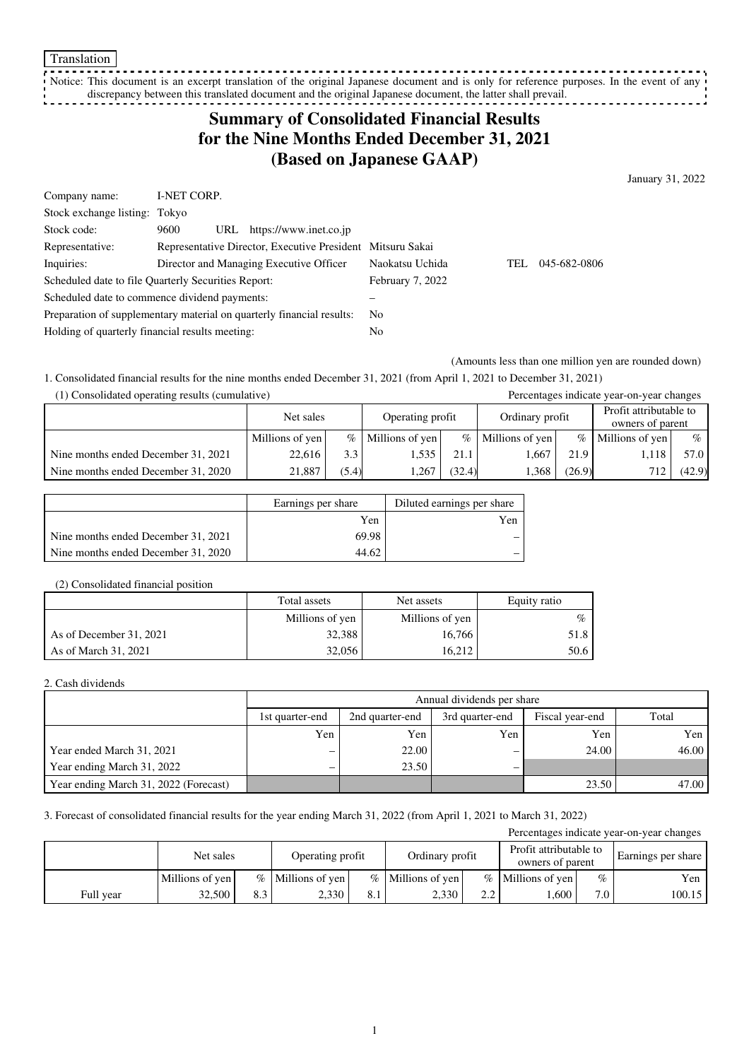Notice: This document is an excerpt translation of the original Japanese document and is only for reference purposes. In the event of any discrepancy between this translated document and the original Japanese document, the latter shall prevail. <u>. . . . . . . . . . .</u>

## **Summary of Consolidated Financial Results for the Nine Months Ended December 31, 2021 (Based on Japanese GAAP)**

January 31, 2022

| Company name:                                                         | I-NET CORP. |                                                            |                 |      |              |
|-----------------------------------------------------------------------|-------------|------------------------------------------------------------|-----------------|------|--------------|
| Stock exchange listing: Tokyo                                         |             |                                                            |                 |      |              |
| Stock code:                                                           | 9600<br>URL | https://www.inet.co.jp                                     |                 |      |              |
| Representative:                                                       |             | Representative Director, Executive President Mitsuru Sakai |                 |      |              |
| Inquiries:                                                            |             | Director and Managing Executive Officer                    | Naokatsu Uchida | TEL. | 045-682-0806 |
| Scheduled date to file Quarterly Securities Report:                   |             | February 7, 2022                                           |                 |      |              |
| Scheduled date to commence dividend payments:                         |             |                                                            |                 |      |              |
| Preparation of supplementary material on quarterly financial results: |             | N <sub>0</sub>                                             |                 |      |              |
| Holding of quarterly financial results meeting:                       |             |                                                            | No              |      |              |

(Amounts less than one million yen are rounded down)

1. Consolidated financial results for the nine months ended December 31, 2021 (from April 1, 2021 to December 31, 2021)

| (1) Consolidated operating results (cumulative) |                 |       |                  |        |                     |        | Percentages indicate year-on-year changes  |        |
|-------------------------------------------------|-----------------|-------|------------------|--------|---------------------|--------|--------------------------------------------|--------|
|                                                 | Net sales       |       | Operating profit |        | Ordinary profit     |        | Profit attributable to<br>owners of parent |        |
|                                                 | Millions of yen | $\%$  | Millions of yen  |        | $%$ Millions of yen | $\%$   | Millions of yen                            | $\%$   |
| Nine months ended December 31, 2021             | 22,616          | 3.3   | 1,535            | 21.1   | .667                | 21.9   | 1.118                                      | 57.0   |
| Nine months ended December 31, 2020             | 21.887          | (5.4) | 1.267            | (32.4) | .368                | (26.9) | 712                                        | (42.9) |

|                                     | Earnings per share | Diluted earnings per share |
|-------------------------------------|--------------------|----------------------------|
|                                     | Yen                | Yen                        |
| Nine months ended December 31, 2021 | 69.98              |                            |
| Nine months ended December 31, 2020 | 44.62              |                            |

#### (2) Consolidated financial position

|                         | Total assets    | Net assets      | Equity ratio |
|-------------------------|-----------------|-----------------|--------------|
|                         | Millions of yen | Millions of yen | $\%$         |
| As of December 31, 2021 | 32,388          | 16.766          | 51.8         |
| As of March 31, 2021    | 32,056          | 16.212          | 50.6         |

#### 2. Cash dividends

|                                       |                          | Annual dividends per share |                 |       |       |  |  |  |  |
|---------------------------------------|--------------------------|----------------------------|-----------------|-------|-------|--|--|--|--|
|                                       | 1st quarter-end          | 2nd quarter-end            | Fiscal year-end | Total |       |  |  |  |  |
|                                       | Yen                      | Yen                        | Yen             | Yen   | Yen   |  |  |  |  |
| Year ended March 31, 2021             | –                        | 22.00                      |                 | 24.00 | 46.00 |  |  |  |  |
| Year ending March 31, 2022            | $\overline{\phantom{0}}$ | 23.50                      | –               |       |       |  |  |  |  |
| Year ending March 31, 2022 (Forecast) |                          |                            |                 | 23.50 | 47.00 |  |  |  |  |

#### 3. Forecast of consolidated financial results for the year ending March 31, 2022 (from April 1, 2021 to March 31, 2022)

| Percentages indicate year-on-year changes |                 |     |                     |     |                     |     |                                            |      |                    |
|-------------------------------------------|-----------------|-----|---------------------|-----|---------------------|-----|--------------------------------------------|------|--------------------|
|                                           | Net sales       |     | Operating profit    |     | Ordinary profit     |     | Profit attributable to<br>owners of parent |      | Earnings per share |
|                                           | Millions of yen |     | $%$ Millions of yen |     | $%$ Millions of ven |     | $%$ Millions of yen                        | $\%$ | Yen                |
| Full year                                 | 32,500          | 8.3 | 2.330               | O.1 | 2,330               | 2.2 | .600                                       | 7.0  | 100.15             |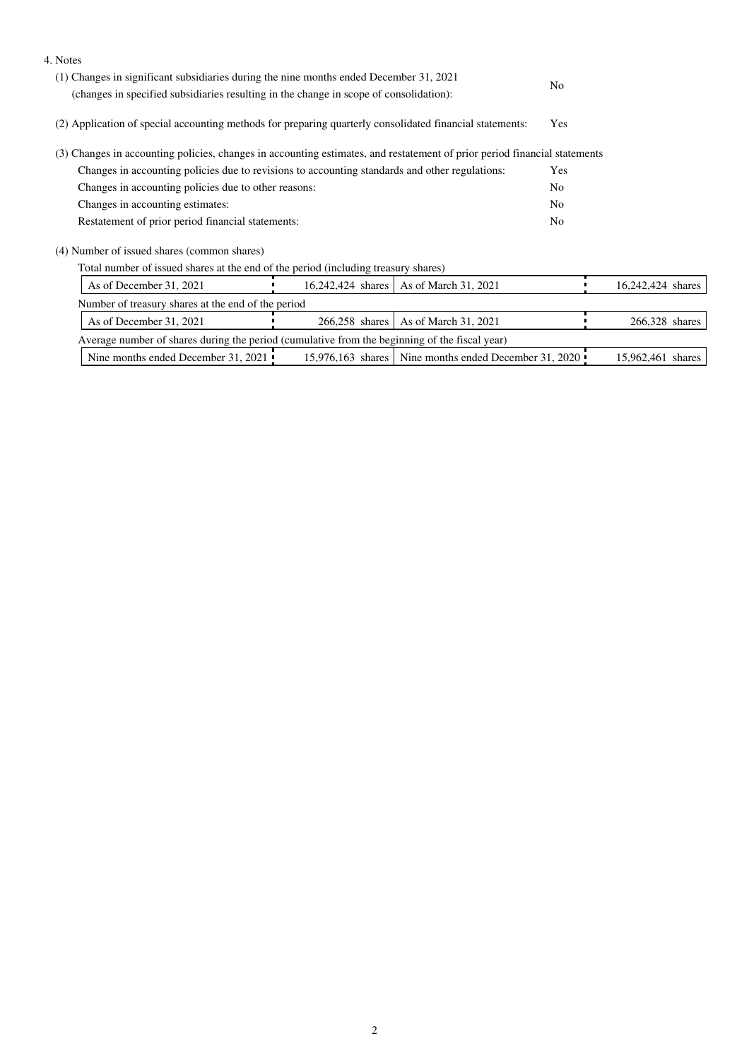| 4. Notes                                                                                                                                                                         |                                                      |                                                       |     |                   |  |
|----------------------------------------------------------------------------------------------------------------------------------------------------------------------------------|------------------------------------------------------|-------------------------------------------------------|-----|-------------------|--|
| (1) Changes in significant subsidiaries during the nine months ended December 31, 2021<br>(changes in specified subsidiaries resulting in the change in scope of consolidation): |                                                      |                                                       | No  |                   |  |
| (2) Application of special accounting methods for preparing quarterly consolidated financial statements:                                                                         |                                                      |                                                       | Yes |                   |  |
| (3) Changes in accounting policies, changes in accounting estimates, and restatement of prior period financial statements                                                        |                                                      |                                                       |     |                   |  |
| Changes in accounting policies due to revisions to accounting standards and other regulations:                                                                                   |                                                      |                                                       | Yes |                   |  |
|                                                                                                                                                                                  | Changes in accounting policies due to other reasons: |                                                       |     |                   |  |
| Changes in accounting estimates:                                                                                                                                                 |                                                      |                                                       | No  |                   |  |
| Restatement of prior period financial statements:                                                                                                                                |                                                      |                                                       | No  |                   |  |
| (4) Number of issued shares (common shares)                                                                                                                                      |                                                      |                                                       |     |                   |  |
| Total number of issued shares at the end of the period (including treasury shares)                                                                                               |                                                      |                                                       |     |                   |  |
| As of December 31, 2021                                                                                                                                                          | 16,242,424 shares                                    | As of March 31, 2021                                  |     | 16,242,424 shares |  |
| Number of treasury shares at the end of the period                                                                                                                               |                                                      |                                                       |     |                   |  |
| As of December 31, 2021                                                                                                                                                          | 266,258 shares                                       | As of March 31, 2021                                  |     | 266,328 shares    |  |
| Average number of shares during the period (cumulative from the beginning of the fiscal year)                                                                                    |                                                      |                                                       |     |                   |  |
| Nine months ended December 31, 2021                                                                                                                                              |                                                      | 15,976,163 shares Nine months ended December 31, 2020 |     | 15,962,461 shares |  |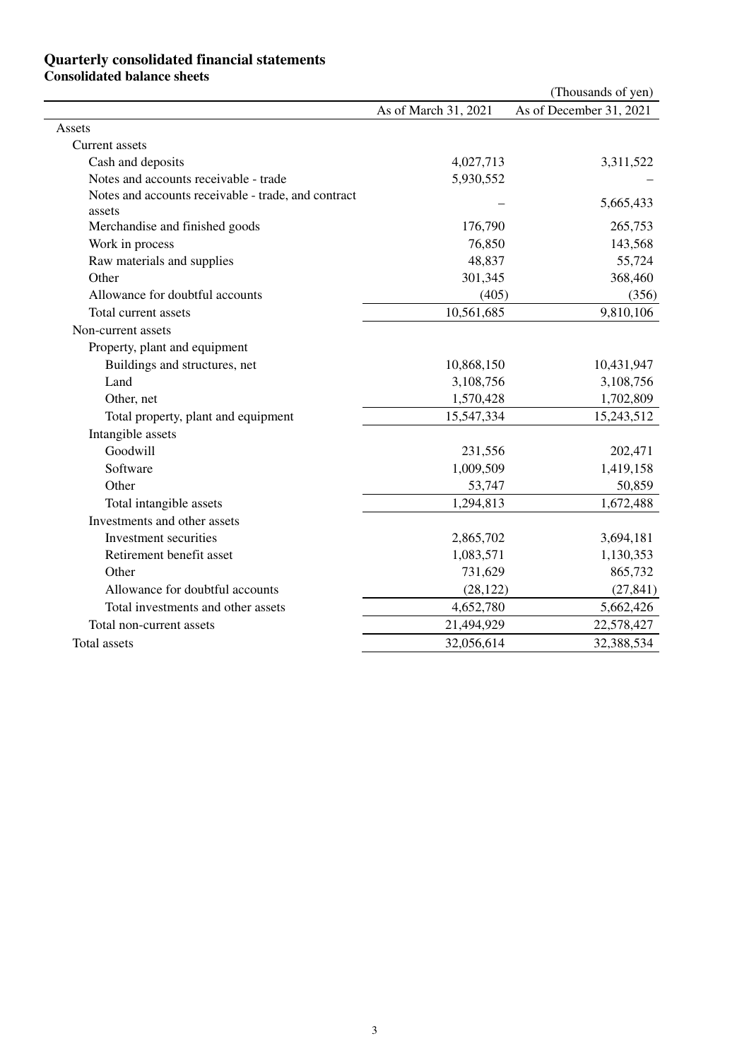### **Quarterly consolidated financial statements Consolidated balance sheets**

|                                                               |                      | (Thousands of yen)      |
|---------------------------------------------------------------|----------------------|-------------------------|
|                                                               | As of March 31, 2021 | As of December 31, 2021 |
| Assets                                                        |                      |                         |
| Current assets                                                |                      |                         |
| Cash and deposits                                             | 4,027,713            | 3,311,522               |
| Notes and accounts receivable - trade                         | 5,930,552            |                         |
| Notes and accounts receivable - trade, and contract<br>assets |                      | 5,665,433               |
| Merchandise and finished goods                                | 176,790              | 265,753                 |
| Work in process                                               | 76,850               | 143,568                 |
| Raw materials and supplies                                    | 48,837               | 55,724                  |
| Other                                                         | 301,345              | 368,460                 |
| Allowance for doubtful accounts                               | (405)                | (356)                   |
| Total current assets                                          | 10,561,685           | 9,810,106               |
| Non-current assets                                            |                      |                         |
| Property, plant and equipment                                 |                      |                         |
| Buildings and structures, net                                 | 10,868,150           | 10,431,947              |
| Land                                                          | 3,108,756            | 3,108,756               |
| Other, net                                                    | 1,570,428            | 1,702,809               |
| Total property, plant and equipment                           | 15,547,334           | 15,243,512              |
| Intangible assets                                             |                      |                         |
| Goodwill                                                      | 231,556              | 202,471                 |
| Software                                                      | 1,009,509            | 1,419,158               |
| Other                                                         | 53,747               | 50,859                  |
| Total intangible assets                                       | 1,294,813            | 1,672,488               |
| Investments and other assets                                  |                      |                         |
| Investment securities                                         | 2,865,702            | 3,694,181               |
| Retirement benefit asset                                      | 1,083,571            | 1,130,353               |
| Other                                                         | 731,629              | 865,732                 |
| Allowance for doubtful accounts                               | (28, 122)            | (27, 841)               |
| Total investments and other assets                            | 4,652,780            | 5,662,426               |
| Total non-current assets                                      | 21,494,929           | 22,578,427              |
| <b>Total assets</b>                                           | 32,056,614           | 32,388,534              |
|                                                               |                      |                         |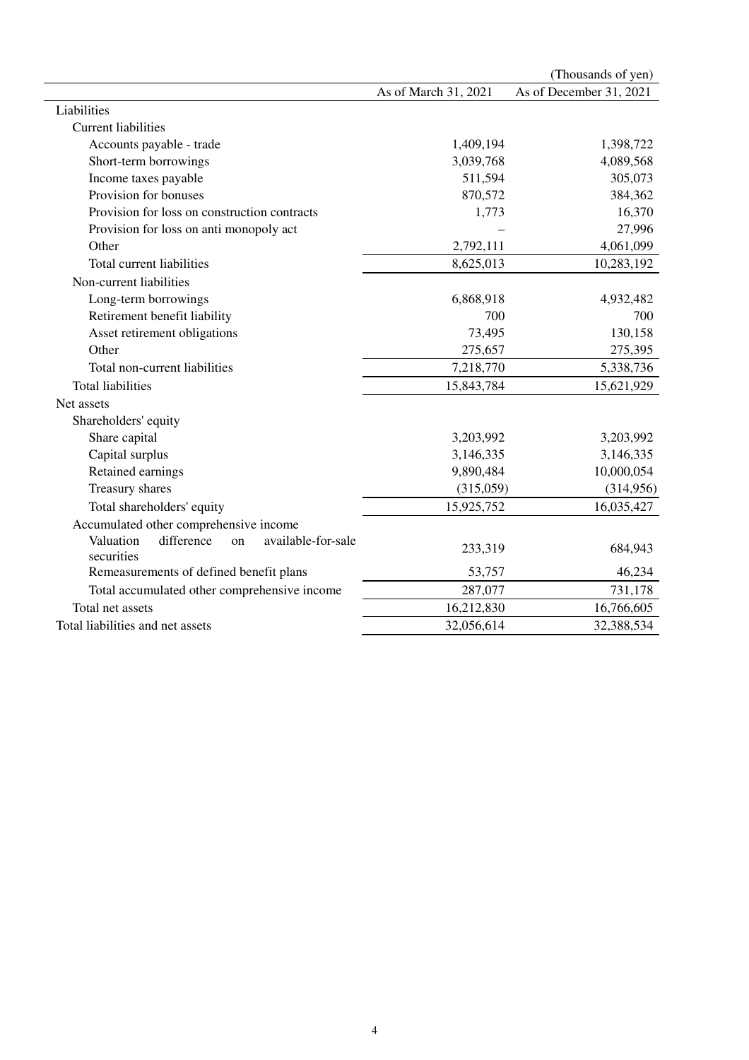|                                                                   |                      | (Thousands of yen)      |
|-------------------------------------------------------------------|----------------------|-------------------------|
|                                                                   | As of March 31, 2021 | As of December 31, 2021 |
| Liabilities                                                       |                      |                         |
| <b>Current liabilities</b>                                        |                      |                         |
| Accounts payable - trade                                          | 1,409,194            | 1,398,722               |
| Short-term borrowings                                             | 3,039,768            | 4,089,568               |
| Income taxes payable                                              | 511,594              | 305,073                 |
| Provision for bonuses                                             | 870,572              | 384,362                 |
| Provision for loss on construction contracts                      | 1,773                | 16,370                  |
| Provision for loss on anti monopoly act                           |                      | 27,996                  |
| Other                                                             | 2,792,111            | 4,061,099               |
| Total current liabilities                                         | 8,625,013            | 10,283,192              |
| Non-current liabilities                                           |                      |                         |
| Long-term borrowings                                              | 6,868,918            | 4,932,482               |
| Retirement benefit liability                                      | 700                  | 700                     |
| Asset retirement obligations                                      | 73,495               | 130,158                 |
| Other                                                             | 275,657              | 275,395                 |
| Total non-current liabilities                                     | 7,218,770            | 5,338,736               |
| <b>Total liabilities</b>                                          | 15,843,784           | 15,621,929              |
| Net assets                                                        |                      |                         |
| Shareholders' equity                                              |                      |                         |
| Share capital                                                     | 3,203,992            | 3,203,992               |
| Capital surplus                                                   | 3,146,335            | 3,146,335               |
| Retained earnings                                                 | 9,890,484            | 10,000,054              |
| Treasury shares                                                   | (315,059)            | (314,956)               |
| Total shareholders' equity                                        | 15,925,752           | 16,035,427              |
| Accumulated other comprehensive income                            |                      |                         |
| Valuation<br>available-for-sale<br>difference<br>on<br>securities | 233,319              | 684,943                 |
| Remeasurements of defined benefit plans                           | 53,757               | 46,234                  |
| Total accumulated other comprehensive income                      | 287,077              | 731,178                 |
| Total net assets                                                  | 16,212,830           | 16,766,605              |
| Total liabilities and net assets                                  | 32,056,614           | 32,388,534              |
|                                                                   |                      |                         |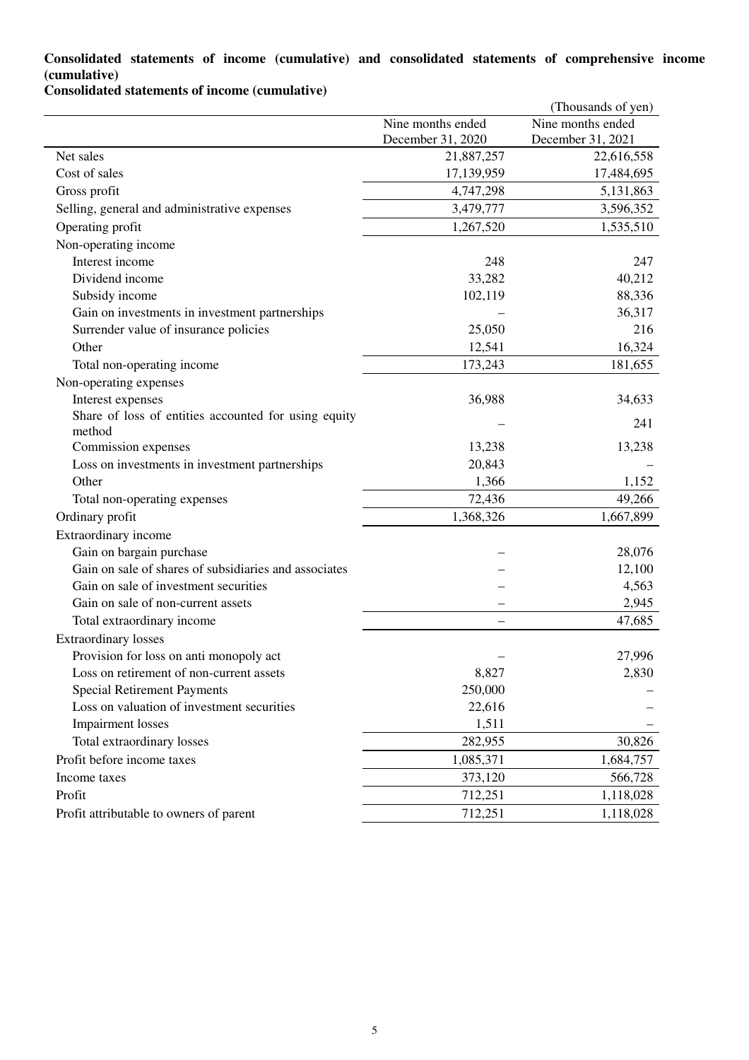### **Consolidated statements of income (cumulative) and consolidated statements of comprehensive income (cumulative)**

**Consolidated statements of income (cumulative)**

|                                                                |                   | (Thousands of yen) |
|----------------------------------------------------------------|-------------------|--------------------|
|                                                                | Nine months ended | Nine months ended  |
|                                                                | December 31, 2020 | December 31, 2021  |
| Net sales                                                      | 21,887,257        | 22,616,558         |
| Cost of sales                                                  | 17,139,959        | 17,484,695         |
| Gross profit                                                   | 4,747,298         | 5,131,863          |
| Selling, general and administrative expenses                   | 3,479,777         | 3,596,352          |
| Operating profit                                               | 1,267,520         | 1,535,510          |
| Non-operating income                                           |                   |                    |
| Interest income                                                | 248               | 247                |
| Dividend income                                                | 33,282            | 40,212             |
| Subsidy income                                                 | 102,119           | 88,336             |
| Gain on investments in investment partnerships                 |                   | 36,317             |
| Surrender value of insurance policies                          | 25,050            | 216                |
| Other                                                          | 12,541            | 16,324             |
| Total non-operating income                                     | 173,243           | 181,655            |
| Non-operating expenses                                         |                   |                    |
| Interest expenses                                              | 36,988            | 34,633             |
| Share of loss of entities accounted for using equity<br>method |                   | 241                |
| Commission expenses                                            | 13,238            | 13,238             |
| Loss on investments in investment partnerships                 | 20,843            |                    |
| Other                                                          | 1,366             | 1,152              |
| Total non-operating expenses                                   | 72,436            | 49,266             |
| Ordinary profit                                                | 1,368,326         | 1,667,899          |
| Extraordinary income                                           |                   |                    |
| Gain on bargain purchase                                       |                   | 28,076             |
| Gain on sale of shares of subsidiaries and associates          |                   | 12,100             |
| Gain on sale of investment securities                          |                   | 4,563              |
| Gain on sale of non-current assets                             |                   | 2,945              |
| Total extraordinary income                                     |                   | 47,685             |
| <b>Extraordinary losses</b>                                    |                   |                    |
| Provision for loss on anti monopoly act                        |                   | 27,996             |
| Loss on retirement of non-current assets                       | 8,827             | 2,830              |
| <b>Special Retirement Payments</b>                             | 250,000           |                    |
| Loss on valuation of investment securities                     | 22,616            |                    |
| <b>Impairment</b> losses                                       | 1,511             |                    |
| Total extraordinary losses                                     | 282,955           | 30,826             |
| Profit before income taxes                                     | 1,085,371         | 1,684,757          |
| Income taxes                                                   | 373,120           | 566,728            |
| Profit                                                         | 712,251           | 1,118,028          |
| Profit attributable to owners of parent                        | 712,251           | 1,118,028          |